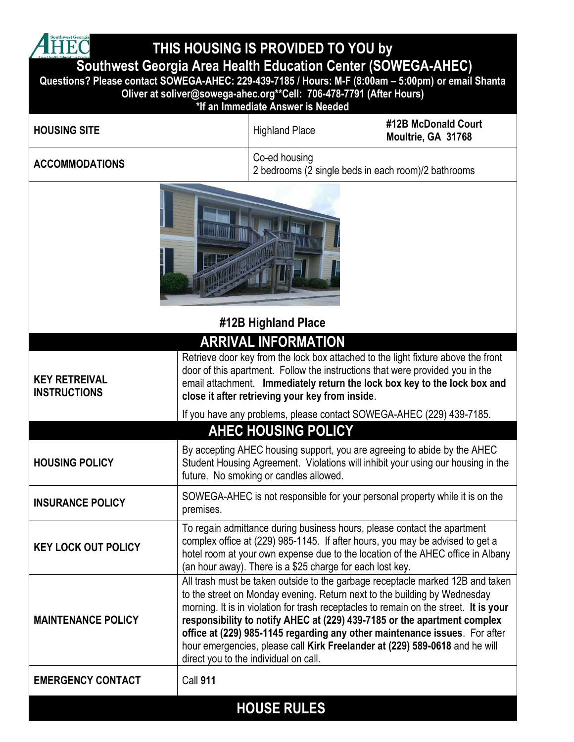**A** Southwest Georgia **THIS HOUSING IS PROVIDED TO YOU by Southwest Georgia Area Health Education Center (SOWEGA-AHEC) Questions? Please contact SOWEGA-AHEC: 229-439-7185 / Hours: M-F (8:00am – 5:00pm) or email Shanta Oliver at soliver@sowega-ahec.org\*\*Cell: 706-478-7791 (After Hours)**

|                                             |                 | *If an Immediate Answer is Needed                                             |                                                                                                                                                                                                                                                                                                                                                                                                                                                                                               |  |
|---------------------------------------------|-----------------|-------------------------------------------------------------------------------|-----------------------------------------------------------------------------------------------------------------------------------------------------------------------------------------------------------------------------------------------------------------------------------------------------------------------------------------------------------------------------------------------------------------------------------------------------------------------------------------------|--|
| <b>HOUSING SITE</b>                         |                 | <b>Highland Place</b>                                                         | #12B McDonald Court<br>Moultrie, GA 31768                                                                                                                                                                                                                                                                                                                                                                                                                                                     |  |
| <b>ACCOMMODATIONS</b>                       |                 | Co-ed housing                                                                 | 2 bedrooms (2 single beds in each room)/2 bathrooms                                                                                                                                                                                                                                                                                                                                                                                                                                           |  |
|                                             |                 |                                                                               |                                                                                                                                                                                                                                                                                                                                                                                                                                                                                               |  |
| #12B Highland Place                         |                 |                                                                               |                                                                                                                                                                                                                                                                                                                                                                                                                                                                                               |  |
| <b>KEY RETREIVAL</b><br><b>INSTRUCTIONS</b> |                 | <b>ARRIVAL INFORMATION</b><br>close it after retrieving your key from inside. | Retrieve door key from the lock box attached to the light fixture above the front<br>door of this apartment. Follow the instructions that were provided you in the<br>email attachment. Immediately return the lock box key to the lock box and                                                                                                                                                                                                                                               |  |
|                                             |                 |                                                                               | If you have any problems, please contact SOWEGA-AHEC (229) 439-7185.                                                                                                                                                                                                                                                                                                                                                                                                                          |  |
| <b>AHEC HOUSING POLICY</b>                  |                 |                                                                               |                                                                                                                                                                                                                                                                                                                                                                                                                                                                                               |  |
| <b>HOUSING POLICY</b>                       |                 | future. No smoking or candles allowed.                                        | By accepting AHEC housing support, you are agreeing to abide by the AHEC<br>Student Housing Agreement. Violations will inhibit your using our housing in the                                                                                                                                                                                                                                                                                                                                  |  |
| <b>INSURANCE POLICY</b>                     | premises.       |                                                                               | SOWEGA-AHEC is not responsible for your personal property while it is on the                                                                                                                                                                                                                                                                                                                                                                                                                  |  |
| <b>KEY LOCK OUT POLICY</b>                  |                 | (an hour away). There is a \$25 charge for each lost key.                     | To regain admittance during business hours, please contact the apartment<br>complex office at (229) 985-1145. If after hours, you may be advised to get a<br>hotel room at your own expense due to the location of the AHEC office in Albany                                                                                                                                                                                                                                                  |  |
| <b>MAINTENANCE POLICY</b>                   |                 | direct you to the individual on call.                                         | All trash must be taken outside to the garbage receptacle marked 12B and taken<br>to the street on Monday evening. Return next to the building by Wednesday<br>morning. It is in violation for trash receptacles to remain on the street. It is your<br>responsibility to notify AHEC at (229) 439-7185 or the apartment complex<br>office at (229) 985-1145 regarding any other maintenance issues. For after<br>hour emergencies, please call Kirk Freelander at (229) 589-0618 and he will |  |
| <b>EMERGENCY CONTACT</b>                    | <b>Call 911</b> |                                                                               |                                                                                                                                                                                                                                                                                                                                                                                                                                                                                               |  |
|                                             |                 | <b>HOUSE RULES</b>                                                            |                                                                                                                                                                                                                                                                                                                                                                                                                                                                                               |  |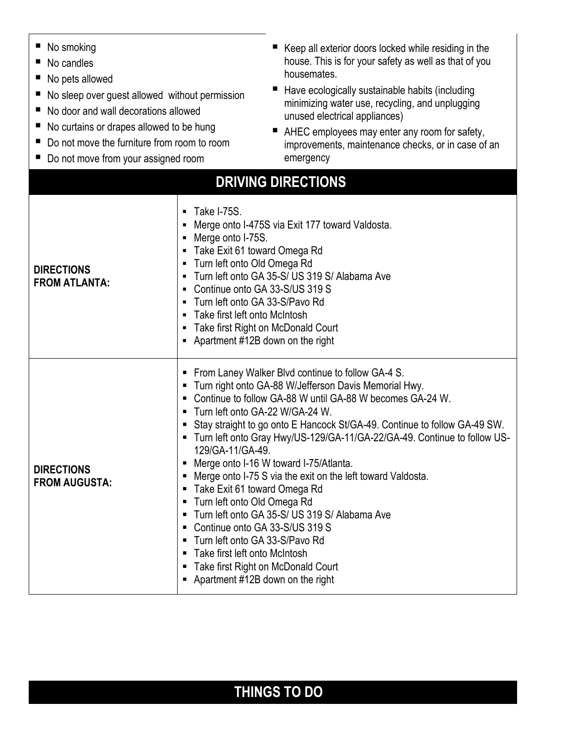| No smoking<br>ш<br>No candles<br>No pets allowed<br>щ<br>No sleep over guest allowed without permission<br>No door and wall decorations allowed<br>No curtains or drapes allowed to be hung<br>Do not move the furniture from room to room<br>Do not move from your assigned room | Keep all exterior doors locked while residing in the<br>house. This is for your safety as well as that of you<br>housemates.<br>Have ecologically sustainable habits (including<br>minimizing water use, recycling, and unplugging<br>unused electrical appliances)<br>п<br>AHEC employees may enter any room for safety,<br>improvements, maintenance checks, or in case of an<br>emergency<br><b>DRIVING DIRECTIONS</b>                                                                                                                                                                                                                                                                                                                                                                                                                                   |  |
|-----------------------------------------------------------------------------------------------------------------------------------------------------------------------------------------------------------------------------------------------------------------------------------|-------------------------------------------------------------------------------------------------------------------------------------------------------------------------------------------------------------------------------------------------------------------------------------------------------------------------------------------------------------------------------------------------------------------------------------------------------------------------------------------------------------------------------------------------------------------------------------------------------------------------------------------------------------------------------------------------------------------------------------------------------------------------------------------------------------------------------------------------------------|--|
| <b>DIRECTIONS</b><br><b>FROM ATLANTA:</b>                                                                                                                                                                                                                                         | Take I-75S.<br>٠<br>Merge onto I-475S via Exit 177 toward Valdosta.<br>$\blacksquare$<br>Merge onto I-75S.<br>٠<br>Take Exit 61 toward Omega Rd<br>Turn left onto Old Omega Rd<br>٠<br>Turn left onto GA 35-S/ US 319 S/ Alabama Ave<br>٠<br>Continue onto GA 33-S/US 319 S<br>٠<br>Turn left onto GA 33-S/Pavo Rd<br>$\blacksquare$<br>Take first left onto McIntosh<br>$\blacksquare$<br>Take first Right on McDonald Court<br>Apartment #12B down on the right                                                                                                                                                                                                                                                                                                                                                                                           |  |
| <b>DIRECTIONS</b><br><b>FROM AUGUSTA:</b>                                                                                                                                                                                                                                         | From Laney Walker Blvd continue to follow GA-4 S.<br>Turn right onto GA-88 W/Jefferson Davis Memorial Hwy.<br>п<br>Continue to follow GA-88 W until GA-88 W becomes GA-24 W.<br>п<br>Turn left onto GA-22 W/GA-24 W.<br>٠<br>Stay straight to go onto E Hancock St/GA-49. Continue to follow GA-49 SW.<br>п<br>Turn left onto Gray Hwy/US-129/GA-11/GA-22/GA-49. Continue to follow US-<br>129/GA-11/GA-49.<br>Merge onto I-16 W toward I-75/Atlanta.<br>Merge onto I-75 S via the exit on the left toward Valdosta.<br>п<br>Take Exit 61 toward Omega Rd<br>п<br>Turn left onto Old Omega Rd<br>п<br>Turn left onto GA 35-S/ US 319 S/ Alabama Ave<br>Continue onto GA 33-S/US 319 S<br>п<br>Turn left onto GA 33-S/Pavo Rd<br>٠<br>Take first left onto McIntosh<br>٠<br>Take first Right on McDonald Court<br>п<br>Apartment #12B down on the right<br>п |  |

## **THINGS TO DO**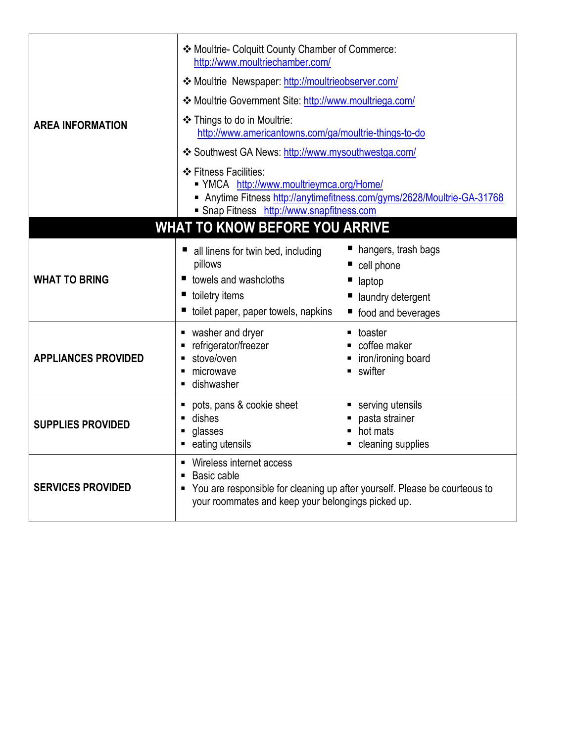| <b>AREA INFORMATION</b>               | ❖ Moultrie- Colquitt County Chamber of Commerce:<br>http://www.moultriechamber.com/<br>*Moultrie Newspaper: http://moultrieobserver.com/<br>* Moultrie Government Site: http://www.moultriega.com/<br>❖ Things to do in Moultrie:<br>http://www.americantowns.com/ga/moultrie-things-to-do<br>❖ Southwest GA News: http://www.mysouthwestga.com/<br>❖ Fitness Facilities:<br>■ YMCA http://www.moultrieymca.org/Home/<br>Anytime Fitness http://anytimefitness.com/gyms/2628/Moultrie-GA-31768<br>Snap Fitness http://www.snapfitness.com |                                                                                            |  |  |
|---------------------------------------|-------------------------------------------------------------------------------------------------------------------------------------------------------------------------------------------------------------------------------------------------------------------------------------------------------------------------------------------------------------------------------------------------------------------------------------------------------------------------------------------------------------------------------------------|--------------------------------------------------------------------------------------------|--|--|
| <b>WHAT TO KNOW BEFORE YOU ARRIVE</b> |                                                                                                                                                                                                                                                                                                                                                                                                                                                                                                                                           |                                                                                            |  |  |
| <b>WHAT TO BRING</b>                  | all linens for twin bed, including<br>pillows<br>towels and washcloths<br>toiletry items<br>toilet paper, paper towels, napkins                                                                                                                                                                                                                                                                                                                                                                                                           | ■ hangers, trash bags<br>cell phone<br>laptop<br>laundry detergent<br>■ food and beverages |  |  |
| <b>APPLIANCES PROVIDED</b>            | washer and dryer<br>refrigerator/freezer<br>П<br>stove/oven<br>$\blacksquare$<br>microwave<br>$\blacksquare$<br>dishwasher<br>$\blacksquare$                                                                                                                                                                                                                                                                                                                                                                                              | • toaster<br>coffee maker<br>■ iron/ironing board<br>$\blacksquare$ swifter                |  |  |
| <b>SUPPLIES PROVIDED</b>              | pots, pans & cookie sheet<br>٠<br>dishes<br>$\blacksquare$<br>glasses<br>П<br>eating utensils<br>Ξ                                                                                                                                                                                                                                                                                                                                                                                                                                        | serving utensils<br>pasta strainer<br>hot mats<br>• cleaning supplies                      |  |  |
| <b>SERVICES PROVIDED</b>              | Wireless internet access<br>Basic cable<br>$\blacksquare$<br>You are responsible for cleaning up after yourself. Please be courteous to<br>п<br>your roommates and keep your belongings picked up.                                                                                                                                                                                                                                                                                                                                        |                                                                                            |  |  |